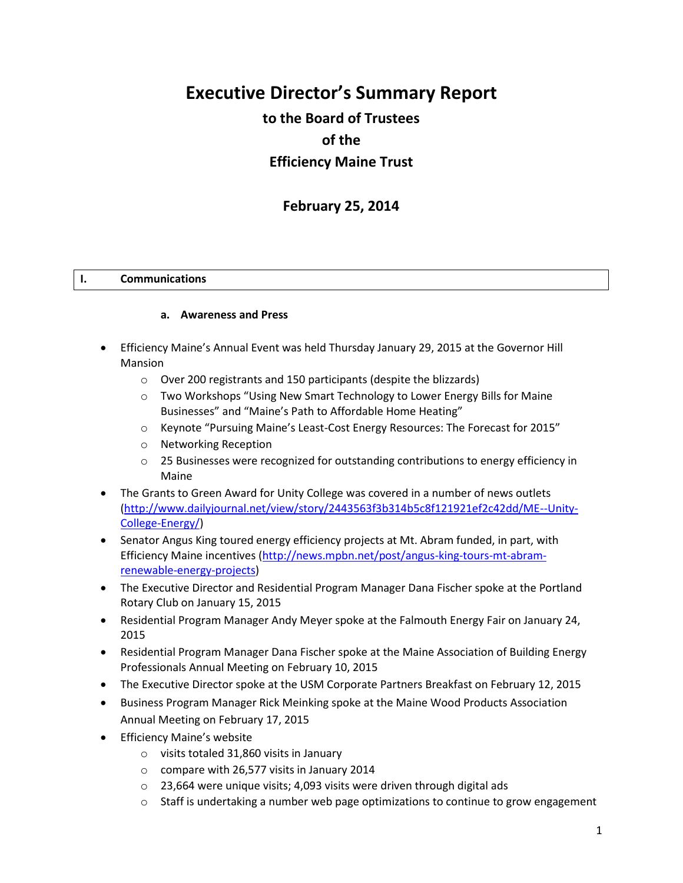# **Executive Director's Summary Report**

## **to the Board of Trustees of the Efficiency Maine Trust**

## **February 25, 2014**

#### **I. Communications**

#### **a. Awareness and Press**

- Efficiency Maine's Annual Event was held Thursday January 29, 2015 at the Governor Hill Mansion
	- o Over 200 registrants and 150 participants (despite the blizzards)
	- $\circ$  Two Workshops "Using New Smart Technology to Lower Energy Bills for Maine Businesses" and "Maine's Path to Affordable Home Heating"
	- o Keynote "Pursuing Maine's Least-Cost Energy Resources: The Forecast for 2015"
	- o Networking Reception
	- $\circ$  25 Businesses were recognized for outstanding contributions to energy efficiency in Maine
- The Grants to Green Award for Unity College was covered in a number of news outlets [\(http://www.dailyjournal.net/view/story/2443563f3b314b5c8f121921ef2c42dd/ME--Unity-](http://www.dailyjournal.net/view/story/2443563f3b314b5c8f121921ef2c42dd/ME--Unity-College-Energy/)[College-Energy/\)](http://www.dailyjournal.net/view/story/2443563f3b314b5c8f121921ef2c42dd/ME--Unity-College-Energy/)
- Senator Angus King toured energy efficiency projects at Mt. Abram funded, in part, with Efficiency Maine incentives [\(http://news.mpbn.net/post/angus-king-tours-mt-abram](http://news.mpbn.net/post/angus-king-tours-mt-abram-renewable-energy-projects)[renewable-energy-projects\)](http://news.mpbn.net/post/angus-king-tours-mt-abram-renewable-energy-projects)
- The Executive Director and Residential Program Manager Dana Fischer spoke at the Portland Rotary Club on January 15, 2015
- Residential Program Manager Andy Meyer spoke at the Falmouth Energy Fair on January 24, 2015
- Residential Program Manager Dana Fischer spoke at the Maine Association of Building Energy Professionals Annual Meeting on February 10, 2015
- The Executive Director spoke at the USM Corporate Partners Breakfast on February 12, 2015
- Business Program Manager Rick Meinking spoke at the Maine Wood Products Association Annual Meeting on February 17, 2015
- **•** Efficiency Maine's website
	- o visits totaled 31,860 visits in January
	- o compare with 26,577 visits in January 2014
	- o 23,664 were unique visits; 4,093 visits were driven through digital ads
	- $\circ$  Staff is undertaking a number web page optimizations to continue to grow engagement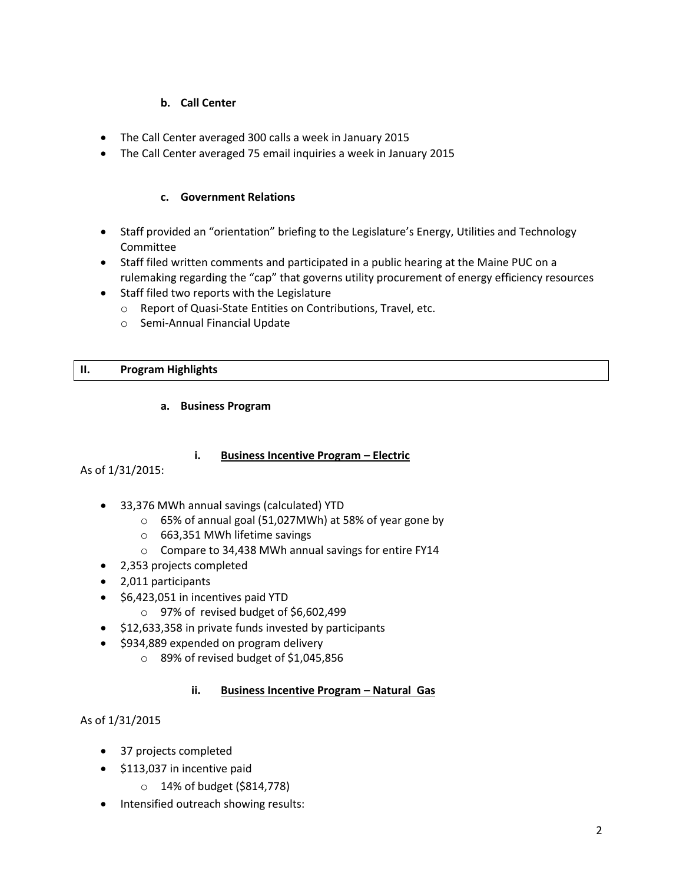## **b. Call Center**

- The Call Center averaged 300 calls a week in January 2015
- The Call Center averaged 75 email inquiries a week in January 2015

## **c. Government Relations**

- Staff provided an "orientation" briefing to the Legislature's Energy, Utilities and Technology Committee
- Staff filed written comments and participated in a public hearing at the Maine PUC on a rulemaking regarding the "cap" that governs utility procurement of energy efficiency resources
- Staff filed two reports with the Legislature
	- o Report of Quasi-State Entities on Contributions, Travel, etc.
	- o Semi-Annual Financial Update

## **II. Program Highlights**

#### **a. Business Program**

## **i. Business Incentive Program – Electric**

As of 1/31/2015:

- 33,376 MWh annual savings (calculated) YTD
	- o 65% of annual goal (51,027MWh) at 58% of year gone by
	- o 663,351 MWh lifetime savings
	- o Compare to 34,438 MWh annual savings for entire FY14
- 2,353 projects completed
- 2,011 participants
- \$6,423,051 in incentives paid YTD
	- o 97% of revised budget of \$6,602,499
- $\bullet$  \$12,633,358 in private funds invested by participants
- \$934,889 expended on program delivery
	- o 89% of revised budget of \$1,045,856

## **ii. Business Incentive Program – Natural Gas**

As of 1/31/2015

- 37 projects completed
- \$113,037 in incentive paid
	- o 14% of budget (\$814,778)
- Intensified outreach showing results: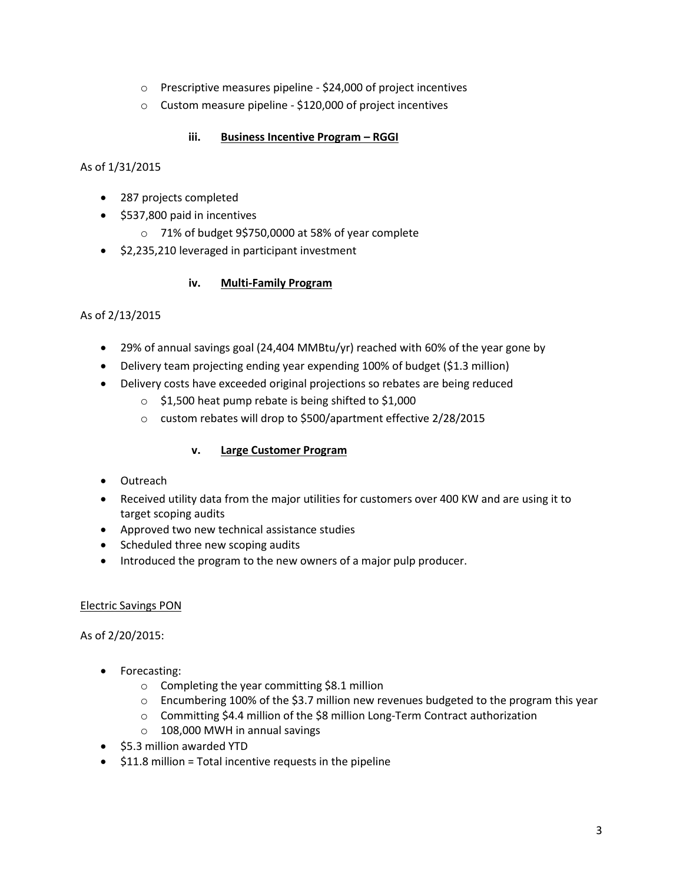- o Prescriptive measures pipeline \$24,000 of project incentives
- o Custom measure pipeline \$120,000 of project incentives

## **iii. Business Incentive Program – RGGI**

As of 1/31/2015

- 287 projects completed
- \$537,800 paid in incentives
	- o 71% of budget 9\$750,0000 at 58% of year complete
- $\bullet$  \$2,235,210 leveraged in participant investment

## **iv. Multi-Family Program**

As of 2/13/2015

- 29% of annual savings goal (24,404 MMBtu/yr) reached with 60% of the year gone by
- Delivery team projecting ending year expending 100% of budget (\$1.3 million)
- Delivery costs have exceeded original projections so rebates are being reduced
	- o \$1,500 heat pump rebate is being shifted to \$1,000
	- o custom rebates will drop to \$500/apartment effective 2/28/2015

## **v. Large Customer Program**

- Outreach
- Received utility data from the major utilities for customers over 400 KW and are using it to target scoping audits
- Approved two new technical assistance studies
- Scheduled three new scoping audits
- Introduced the program to the new owners of a major pulp producer.

## Electric Savings PON

As of 2/20/2015:

- Forecasting:
	- o Completing the year committing \$8.1 million
	- $\circ$  Encumbering 100% of the \$3.7 million new revenues budgeted to the program this year
	- $\circ$  Committing \$4.4 million of the \$8 million Long-Term Contract authorization
	- o 108,000 MWH in annual savings
- \$5.3 million awarded YTD
- $\bullet$  \$11.8 million = Total incentive requests in the pipeline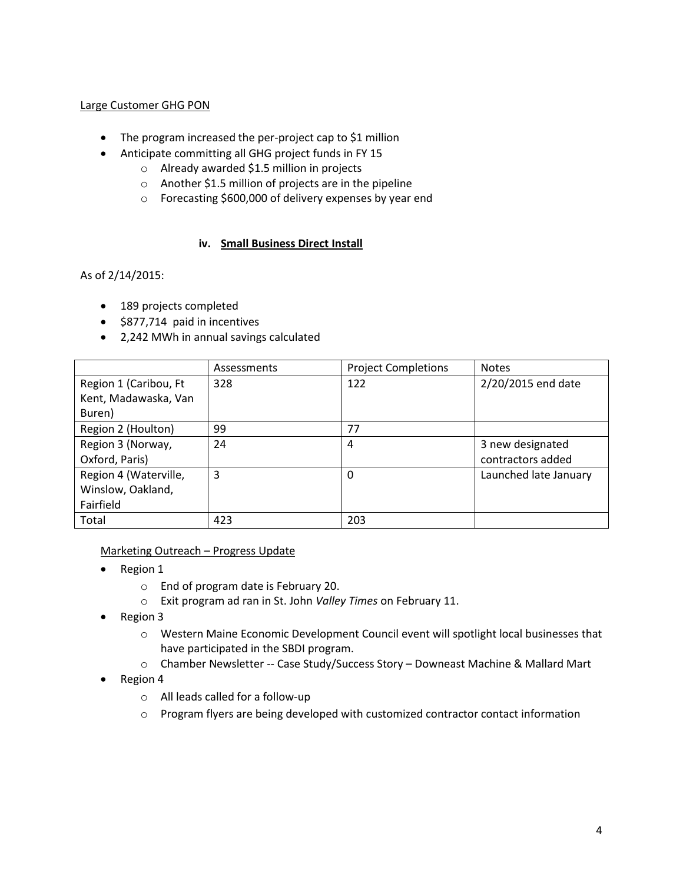## Large Customer GHG PON

- The program increased the per-project cap to \$1 million
- Anticipate committing all GHG project funds in FY 15
	- o Already awarded \$1.5 million in projects
	- o Another \$1.5 million of projects are in the pipeline
	- o Forecasting \$600,000 of delivery expenses by year end

#### **iv. Small Business Direct Install**

As of 2/14/2015:

- 189 projects completed
- \$877,714 paid in incentives
- 2,242 MWh in annual savings calculated

|                       | Assessments | <b>Project Completions</b> | <b>Notes</b>          |
|-----------------------|-------------|----------------------------|-----------------------|
| Region 1 (Caribou, Ft | 328         | 122                        | 2/20/2015 end date    |
| Kent, Madawaska, Van  |             |                            |                       |
| Buren)                |             |                            |                       |
| Region 2 (Houlton)    | 99          | 77                         |                       |
| Region 3 (Norway,     | 24          | 4                          | 3 new designated      |
| Oxford, Paris)        |             |                            | contractors added     |
| Region 4 (Waterville, | 3           | 0                          | Launched late January |
| Winslow, Oakland,     |             |                            |                       |
| Fairfield             |             |                            |                       |
| Total                 | 423         | 203                        |                       |

Marketing Outreach – Progress Update

- Region 1
	- o End of program date is February 20.
	- o Exit program ad ran in St. John *Valley Times* on February 11.
- Region 3
	- o Western Maine Economic Development Council event will spotlight local businesses that have participated in the SBDI program.
	- o Chamber Newsletter -- Case Study/Success Story Downeast Machine & Mallard Mart
- Region 4
	- o All leads called for a follow-up
	- $\circ$  Program flyers are being developed with customized contractor contact information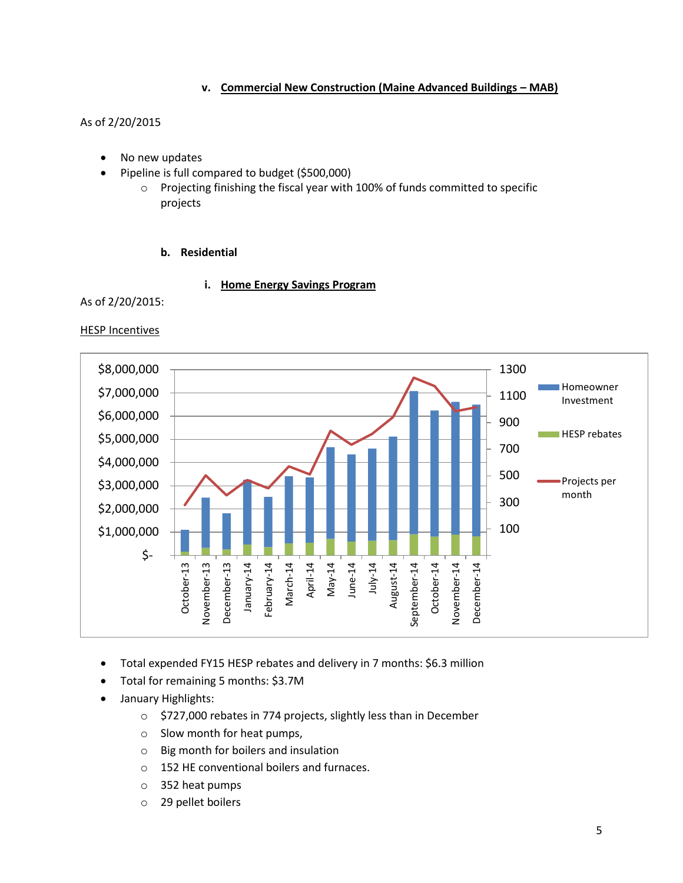#### **v. Commercial New Construction (Maine Advanced Buildings – MAB)**

## As of 2/20/2015

- No new updates
- Pipeline is full compared to budget (\$500,000)
	- o Projecting finishing the fiscal year with 100% of funds committed to specific projects

#### **b. Residential**

#### **i. Home Energy Savings Program**

As of 2/20/2015:

**HESP Incentives** 



- Total expended FY15 HESP rebates and delivery in 7 months: \$6.3 million
- Total for remaining 5 months: \$3.7M
- January Highlights:
	- o \$727,000 rebates in 774 projects, slightly less than in December
	- o Slow month for heat pumps,
	- o Big month for boilers and insulation
	- o 152 HE conventional boilers and furnaces.
	- o 352 heat pumps
	- o 29 pellet boilers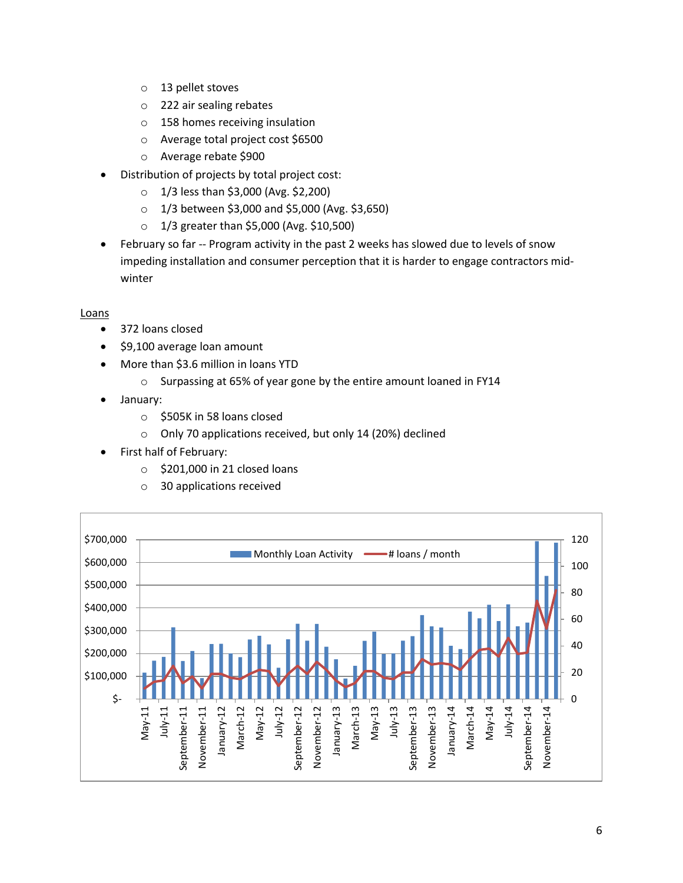- o 13 pellet stoves
- o 222 air sealing rebates
- o 158 homes receiving insulation
- o Average total project cost \$6500
- o Average rebate \$900
- Distribution of projects by total project cost:
	- o 1/3 less than \$3,000 (Avg. \$2,200)
	- o 1/3 between \$3,000 and \$5,000 (Avg. \$3,650)
	- o 1/3 greater than \$5,000 (Avg. \$10,500)
- February so far -- Program activity in the past 2 weeks has slowed due to levels of snow impeding installation and consumer perception that it is harder to engage contractors midwinter

#### Loans

- 372 loans closed
- \$9,100 average loan amount
- More than \$3.6 million in loans YTD
	- o Surpassing at 65% of year gone by the entire amount loaned in FY14
- January:
	- o \$505K in 58 loans closed
	- o Only 70 applications received, but only 14 (20%) declined
- First half of February:
	- $\circ$  \$201,000 in 21 closed loans
	- o 30 applications received

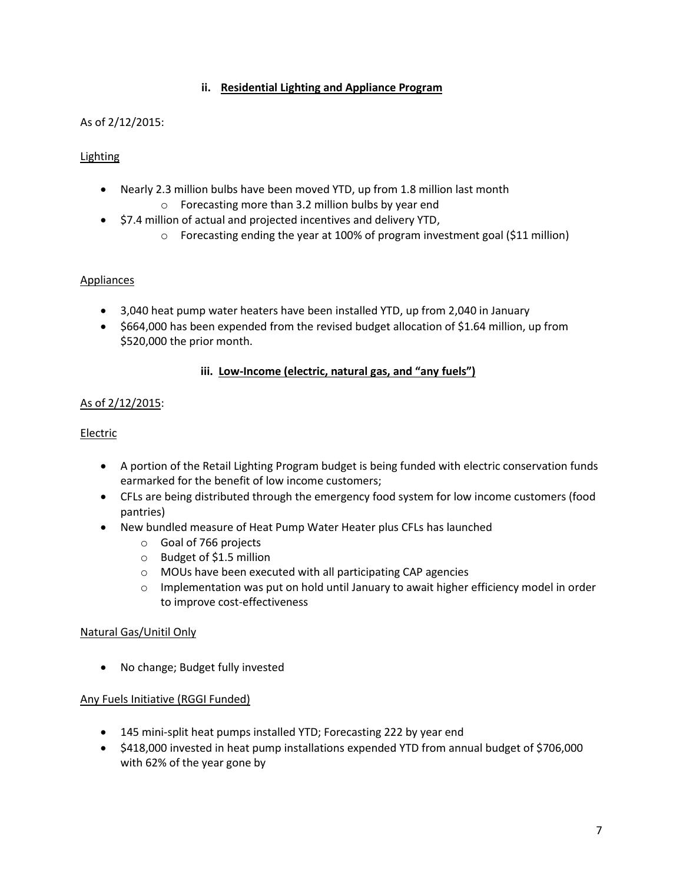## **ii. Residential Lighting and Appliance Program**

## As of 2/12/2015:

## Lighting

- Nearly 2.3 million bulbs have been moved YTD, up from 1.8 million last month
	- o Forecasting more than 3.2 million bulbs by year end
- $\bullet$  \$7.4 million of actual and projected incentives and delivery YTD,
	- o Forecasting ending the year at 100% of program investment goal (\$11 million)

#### **Appliances**

- 3,040 heat pump water heaters have been installed YTD, up from 2,040 in January
- \$664,000 has been expended from the revised budget allocation of \$1.64 million, up from \$520,000 the prior month.

#### **iii. Low-Income (electric, natural gas, and "any fuels")**

## As of 2/12/2015:

#### Electric

- A portion of the Retail Lighting Program budget is being funded with electric conservation funds earmarked for the benefit of low income customers;
- CFLs are being distributed through the emergency food system for low income customers (food pantries)
- New bundled measure of Heat Pump Water Heater plus CFLs has launched
	- o Goal of 766 projects
	- o Budget of \$1.5 million
	- o MOUs have been executed with all participating CAP agencies
	- $\circ$  Implementation was put on hold until January to await higher efficiency model in order to improve cost-effectiveness

#### Natural Gas/Unitil Only

No change; Budget fully invested

#### Any Fuels Initiative (RGGI Funded)

- 145 mini-split heat pumps installed YTD; Forecasting 222 by year end
- \$418,000 invested in heat pump installations expended YTD from annual budget of \$706,000 with 62% of the year gone by